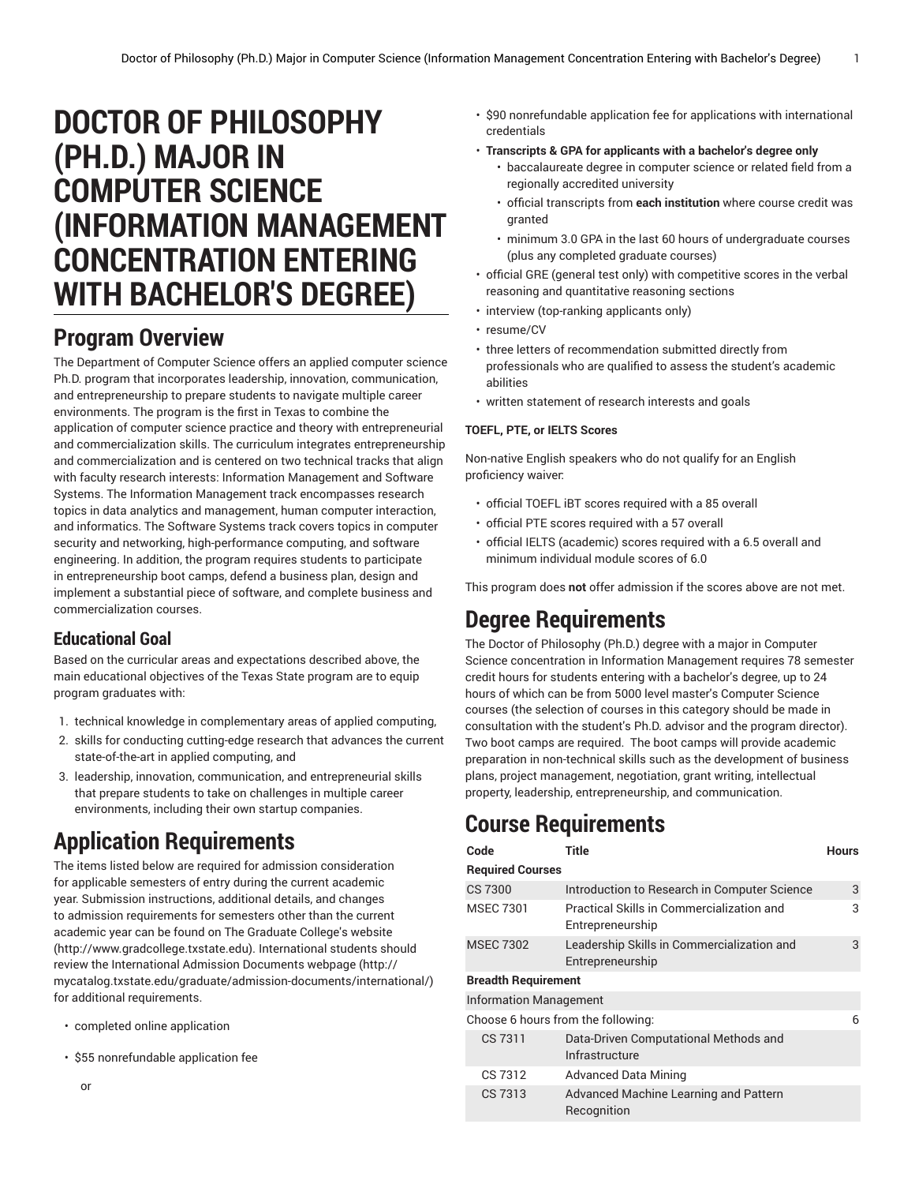# **DOCTOR OF PHILOSOPHY (PH.D.) MAJOR IN COMPUTER SCIENCE (INFORMATION MANAGEMENT CONCENTRATION ENTERING WITH BACHELOR'S DEGREE)**

## **Program Overview**

The Department of Computer Science offers an applied computer science Ph.D. program that incorporates leadership, innovation, communication, and entrepreneurship to prepare students to navigate multiple career environments. The program is the first in Texas to combine the application of computer science practice and theory with entrepreneurial and commercialization skills. The curriculum integrates entrepreneurship and commercialization and is centered on two technical tracks that align with faculty research interests: Information Management and Software Systems. The Information Management track encompasses research topics in data analytics and management, human computer interaction, and informatics. The Software Systems track covers topics in computer security and networking, high-performance computing, and software engineering. In addition, the program requires students to participate in entrepreneurship boot camps, defend a business plan, design and implement a substantial piece of software, and complete business and commercialization courses.

## **Educational Goal**

Based on the curricular areas and expectations described above, the main educational objectives of the Texas State program are to equip program graduates with:

- 1. technical knowledge in complementary areas of applied computing,
- 2. skills for conducting cutting-edge research that advances the current state-of-the-art in applied computing, and
- 3. leadership, innovation, communication, and entrepreneurial skills that prepare students to take on challenges in multiple career environments, including their own startup companies.

## **Application Requirements**

The items listed below are required for admission consideration for applicable semesters of entry during the current academic year. Submission instructions, additional details, and changes to admission requirements for semesters other than the current academic year can be found on The [Graduate](http://www.gradcollege.txstate.edu) College's website (<http://www.gradcollege.txstate.edu>). International students should review the [International Admission Documents webpage](http://mycatalog.txstate.edu/graduate/admission-documents/international/) ([http://](http://mycatalog.txstate.edu/graduate/admission-documents/international/) [mycatalog.txstate.edu/graduate/admission-documents/international/\)](http://mycatalog.txstate.edu/graduate/admission-documents/international/) for additional requirements.

- completed online application
- \$55 nonrefundable application fee
- \$90 nonrefundable application fee for applications with international credentials
- **Transcripts & GPA for applicants with a bachelor's degree only**
	- baccalaureate degree in computer science or related field from a regionally accredited university
	- official transcripts from **each institution** where course credit was granted
	- minimum 3.0 GPA in the last 60 hours of undergraduate courses (plus any completed graduate courses)
- official GRE (general test only) with competitive scores in the verbal reasoning and quantitative reasoning sections
- interview (top-ranking applicants only)
- resume/CV
- three letters of recommendation submitted directly from professionals who are qualified to assess the student's academic abilities
- written statement of research interests and goals

#### **TOEFL, PTE, or IELTS Scores**

Non-native English speakers who do not qualify for an English proficiency waiver:

- official TOEFL iBT scores required with a 85 overall
- official PTE scores required with a 57 overall
- official IELTS (academic) scores required with a 6.5 overall and minimum individual module scores of 6.0

This program does **not** offer admission if the scores above are not met.

## **Degree Requirements**

The Doctor of Philosophy (Ph.D.) degree with a major in Computer Science concentration in Information Management requires 78 semester credit hours for students entering with a bachelor's degree, up to 24 hours of which can be from 5000 level master's Computer Science courses (the selection of courses in this category should be made in consultation with the student's Ph.D. advisor and the program director). Two boot camps are required. The boot camps will provide academic preparation in non-technical skills such as the development of business plans, project management, negotiation, grant writing, intellectual property, leadership, entrepreneurship, and communication.

## **Course Requirements**

| Code                               | <b>Title</b>                                                   | <b>Hours</b> |  |  |  |  |
|------------------------------------|----------------------------------------------------------------|--------------|--|--|--|--|
| <b>Required Courses</b>            |                                                                |              |  |  |  |  |
| CS 7300                            | Introduction to Research in Computer Science                   | 3            |  |  |  |  |
| <b>MSEC 7301</b>                   | Practical Skills in Commercialization and<br>Entrepreneurship  | 3            |  |  |  |  |
| <b>MSEC 7302</b>                   | Leadership Skills in Commercialization and<br>Entrepreneurship | 3            |  |  |  |  |
| <b>Breadth Requirement</b>         |                                                                |              |  |  |  |  |
| <b>Information Management</b>      |                                                                |              |  |  |  |  |
| Choose 6 hours from the following: |                                                                |              |  |  |  |  |
| CS 7311                            | Data-Driven Computational Methods and<br>Infrastructure        |              |  |  |  |  |
| CS 7312                            | <b>Advanced Data Mining</b>                                    |              |  |  |  |  |
| CS 7313                            | Advanced Machine Learning and Pattern<br>Recognition           |              |  |  |  |  |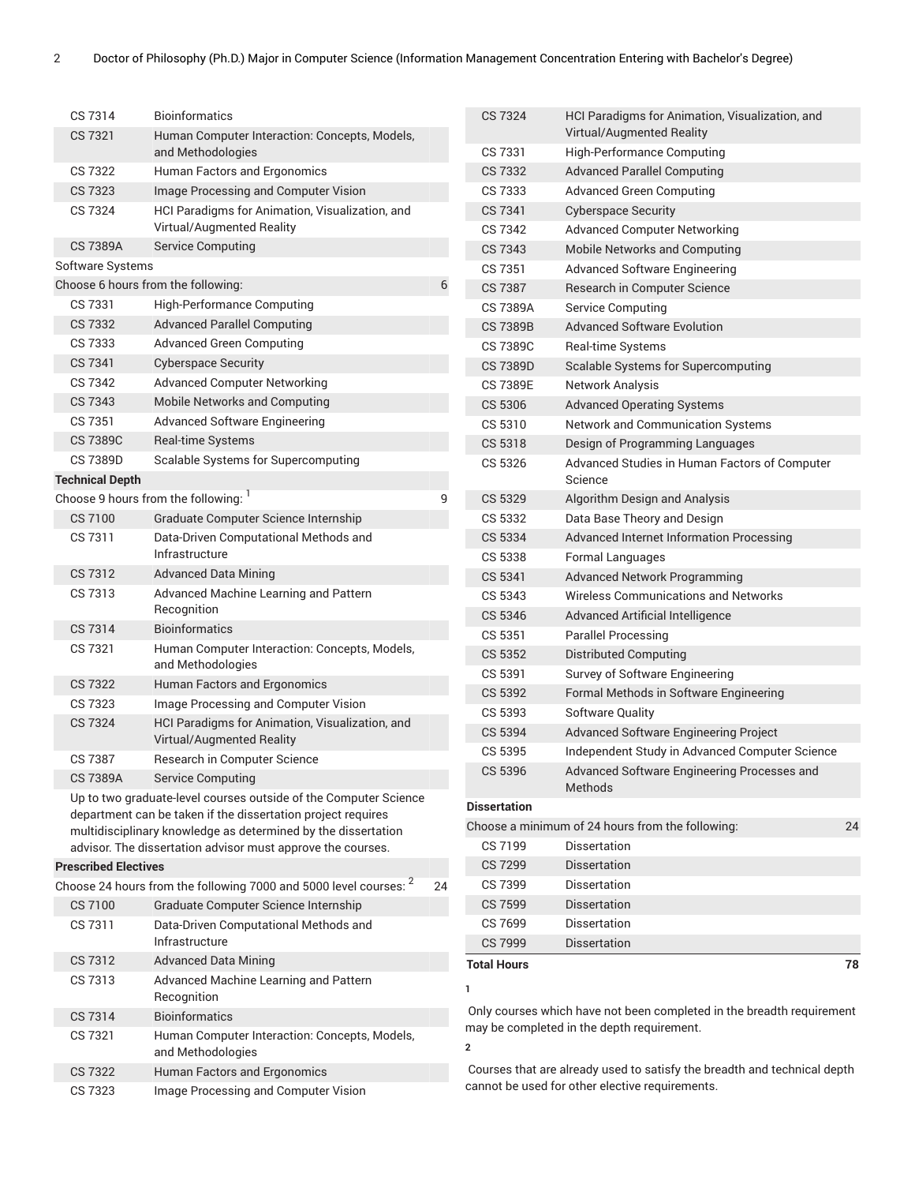| CS 7314                     | <b>Bioinformatics</b>                                                                                                         |    | <b>CS 7324</b>                     |  |
|-----------------------------|-------------------------------------------------------------------------------------------------------------------------------|----|------------------------------------|--|
| CS 7321                     | Human Computer Interaction: Concepts, Models,<br>and Methodologies                                                            |    | CS 7331                            |  |
| CS 7322                     | Human Factors and Ergonomics                                                                                                  |    | CS 7332                            |  |
| CS 7323                     | Image Processing and Computer Vision                                                                                          |    | CS 7333                            |  |
| CS 7324                     | HCI Paradigms for Animation, Visualization, and                                                                               |    | CS 7341                            |  |
|                             | Virtual/Augmented Reality                                                                                                     |    | CS 7342                            |  |
| <b>CS 7389A</b>             | <b>Service Computing</b>                                                                                                      |    | <b>CS 7343</b>                     |  |
| Software Systems            |                                                                                                                               |    | CS 7351                            |  |
|                             | Choose 6 hours from the following:                                                                                            | 6  | CS 7387                            |  |
| CS 7331                     | <b>High-Performance Computing</b>                                                                                             |    | CS 7389A                           |  |
| CS 7332                     | <b>Advanced Parallel Computing</b>                                                                                            |    | <b>CS 7389B</b>                    |  |
| CS 7333                     | <b>Advanced Green Computing</b>                                                                                               |    | CS 7389C                           |  |
| CS 7341                     | <b>Cyberspace Security</b>                                                                                                    |    | <b>CS 7389D</b>                    |  |
| CS 7342                     | <b>Advanced Computer Networking</b>                                                                                           |    | <b>CS 7389E</b>                    |  |
| CS 7343                     | <b>Mobile Networks and Computing</b>                                                                                          |    | <b>CS 5306</b>                     |  |
| CS 7351                     | Advanced Software Engineering                                                                                                 |    | CS 5310                            |  |
| <b>CS 7389C</b>             | Real-time Systems                                                                                                             |    | CS 5318                            |  |
| CS 7389D                    | Scalable Systems for Supercomputing                                                                                           |    | CS 5326                            |  |
| <b>Technical Depth</b>      |                                                                                                                               |    |                                    |  |
|                             | Choose 9 hours from the following: <sup>1</sup>                                                                               | 9  | CS 5329                            |  |
| CS 7100                     | Graduate Computer Science Internship                                                                                          |    | CS 5332                            |  |
| CS 7311                     | Data-Driven Computational Methods and                                                                                         |    | CS 5334                            |  |
|                             | Infrastructure                                                                                                                |    | CS 5338                            |  |
| CS 7312                     | <b>Advanced Data Mining</b>                                                                                                   |    | CS 5341                            |  |
| CS 7313                     | Advanced Machine Learning and Pattern                                                                                         |    | CS 5343                            |  |
|                             | Recognition                                                                                                                   |    | CS 5346                            |  |
| CS 7314                     | <b>Bioinformatics</b>                                                                                                         |    | CS 5351                            |  |
| CS 7321                     | Human Computer Interaction: Concepts, Models,                                                                                 |    | CS 5352                            |  |
|                             | and Methodologies                                                                                                             |    | CS 5391                            |  |
| CS 7322                     | Human Factors and Ergonomics                                                                                                  |    | CS 5392                            |  |
| CS 7323                     | Image Processing and Computer Vision                                                                                          |    | CS 5393                            |  |
| CS 7324                     | HCI Paradigms for Animation, Visualization, and                                                                               |    | CS 5394                            |  |
|                             | Virtual/Augmented Reality                                                                                                     |    | CS 5395                            |  |
| CS 7387                     | Research in Computer Science                                                                                                  |    | CS 5396                            |  |
| <b>CS 7389A</b>             | <b>Service Computing</b>                                                                                                      |    |                                    |  |
|                             | Up to two graduate-level courses outside of the Computer Science                                                              |    | <b>Dissertation</b>                |  |
|                             | department can be taken if the dissertation project requires<br>multidisciplinary knowledge as determined by the dissertation |    | Choose a minimun                   |  |
|                             | advisor. The dissertation advisor must approve the courses.                                                                   |    | CS 7199                            |  |
| <b>Prescribed Electives</b> |                                                                                                                               |    | <b>CS 7299</b>                     |  |
|                             | Choose 24 hours from the following 7000 and 5000 level courses: <sup>2</sup>                                                  | 24 | CS 7399                            |  |
| CS 7100                     | Graduate Computer Science Internship                                                                                          |    | <b>CS 7599</b>                     |  |
| CS 7311                     | Data-Driven Computational Methods and                                                                                         |    | CS 7699                            |  |
|                             | Infrastructure                                                                                                                |    | <b>CS 7999</b>                     |  |
| CS 7312                     | <b>Advanced Data Mining</b>                                                                                                   |    | <b>Total Hours</b>                 |  |
| CS 7313                     | Advanced Machine Learning and Pattern<br>Recognition                                                                          |    | 1                                  |  |
| CS 7314                     | <b>Bioinformatics</b>                                                                                                         |    | Only courses whic                  |  |
| CS 7321                     | Human Computer Interaction: Concepts, Models,<br>and Methodologies                                                            |    | may be completed<br>$\overline{2}$ |  |
| <b>CS 7322</b>              | Human Factors and Ergonomics                                                                                                  |    | Courses that are a                 |  |
| CS 7323                     | Image Processing and Computer Vision                                                                                          |    | cannot be used for                 |  |
|                             |                                                                                                                               |    |                                    |  |

|   | CS 7324         | HCI Paradigms for Animation, Visualization, and<br>Virtual/Augmented Reality |    |
|---|-----------------|------------------------------------------------------------------------------|----|
|   | CS 7331         | High-Performance Computing                                                   |    |
|   | CS 7332         | <b>Advanced Parallel Computing</b>                                           |    |
|   | CS 7333         | Advanced Green Computing                                                     |    |
|   | CS 7341         | <b>Cyberspace Security</b>                                                   |    |
|   | CS 7342         | <b>Advanced Computer Networking</b>                                          |    |
|   | CS 7343         | Mobile Networks and Computing                                                |    |
|   | CS 7351         | Advanced Software Engineering                                                |    |
|   | CS 7387         | Research in Computer Science                                                 |    |
|   | <b>CS 7389A</b> | Service Computing                                                            |    |
|   | <b>CS 7389B</b> | <b>Advanced Software Evolution</b>                                           |    |
|   | CS 7389C        | <b>Real-time Systems</b>                                                     |    |
|   | <b>CS 7389D</b> | Scalable Systems for Supercomputing                                          |    |
|   | CS 7389E        | Network Analysis                                                             |    |
|   | CS 5306         | <b>Advanced Operating Systems</b>                                            |    |
|   | CS 5310         | Network and Communication Systems                                            |    |
|   | CS 5318         | Design of Programming Languages                                              |    |
|   | CS 5326         | Advanced Studies in Human Factors of Computer<br>Science                     |    |
|   | CS 5329         | Algorithm Design and Analysis                                                |    |
|   | CS 5332         | Data Base Theory and Design                                                  |    |
|   | CS 5334         | <b>Advanced Internet Information Processing</b>                              |    |
|   | CS 5338         | Formal Languages                                                             |    |
|   | CS 5341         | Advanced Network Programming                                                 |    |
|   | CS 5343         | Wireless Communications and Networks                                         |    |
|   | CS 5346         | Advanced Artificial Intelligence                                             |    |
|   | CS 5351         | <b>Parallel Processing</b>                                                   |    |
|   | CS 5352         | Distributed Computing                                                        |    |
|   | CS 5391         | Survey of Software Engineering                                               |    |
|   | CS 5392         | Formal Methods in Software Engineering                                       |    |
|   | CS 5393         | Software Quality                                                             |    |
|   | CS 5394         | <b>Advanced Software Engineering Project</b>                                 |    |
|   | CS 5395         | Independent Study in Advanced Computer Science                               |    |
|   | CS 5396         | Advanced Software Engineering Processes and<br>Methods                       |    |
|   | Dissertation    |                                                                              |    |
|   |                 | Choose a minimum of 24 hours from the following:                             | 24 |
|   | CS 7199         | Dissertation                                                                 |    |
|   | <b>CS 7299</b>  | Dissertation                                                                 |    |
|   | CS 7399         | Dissertation                                                                 |    |
|   | <b>CS 7599</b>  | <b>Dissertation</b>                                                          |    |
|   | CS 7699         | Dissertation                                                                 |    |
|   | <b>CS 7999</b>  | Dissertation                                                                 |    |
|   | Total Hours     |                                                                              | 78 |
| Ī |                 |                                                                              |    |

h have not been completed in the breadth requirement in the depth requirement.

Iready used to satisfy the breadth and technical depth other elective requirements.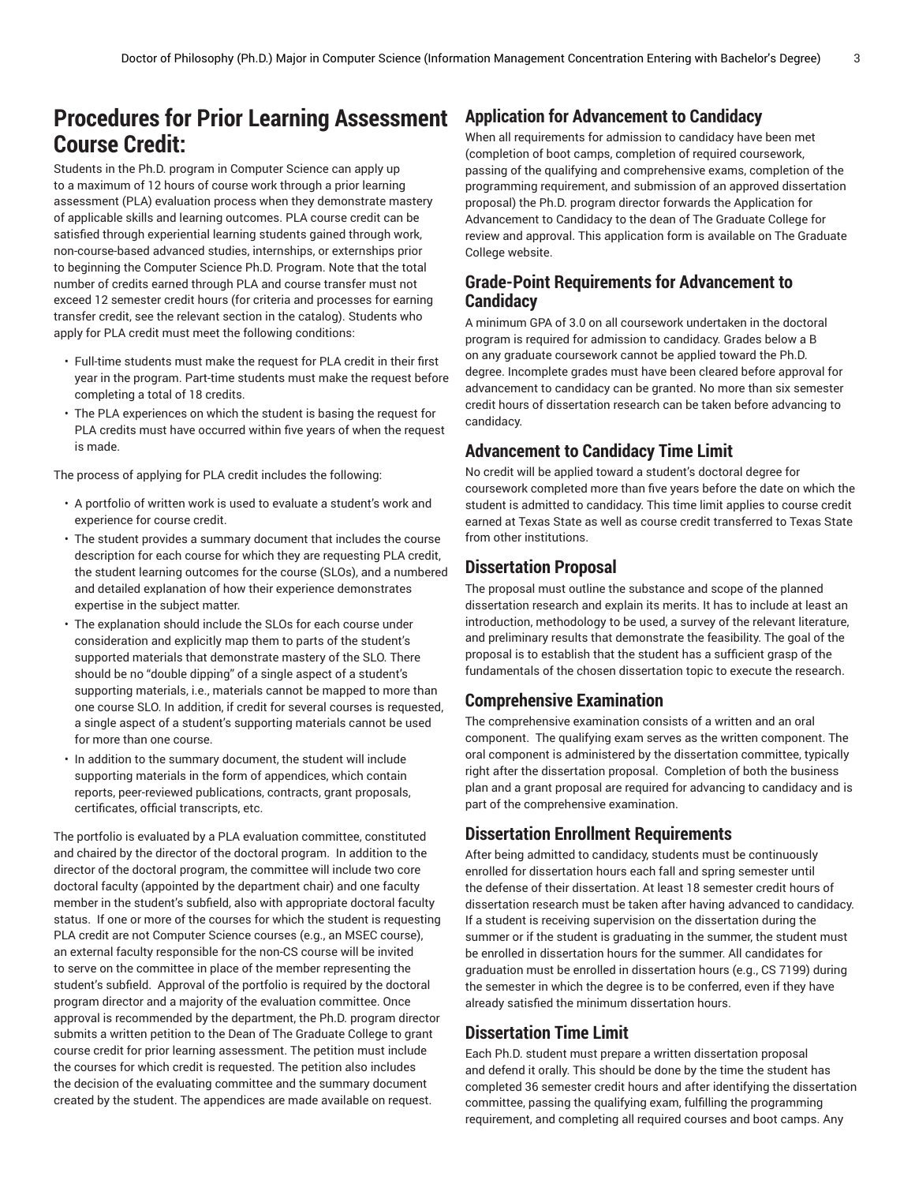## **Procedures for Prior Learning Assessment Course Credit:**

Students in the Ph.D. program in Computer Science can apply up to a maximum of 12 hours of course work through a prior learning assessment (PLA) evaluation process when they demonstrate mastery of applicable skills and learning outcomes. PLA course credit can be satisfied through experiential learning students gained through work, non-course-based advanced studies, internships, or externships prior to beginning the Computer Science Ph.D. Program. Note that the total number of credits earned through PLA and course transfer must not exceed 12 semester credit hours (for criteria and processes for earning transfer credit, see the relevant section in the catalog). Students who apply for PLA credit must meet the following conditions:

- Full-time students must make the request for PLA credit in their first year in the program. Part-time students must make the request before completing a total of 18 credits.
- The PLA experiences on which the student is basing the request for PLA credits must have occurred within five years of when the request is made.

The process of applying for PLA credit includes the following:

- A portfolio of written work is used to evaluate a student's work and experience for course credit.
- The student provides a summary document that includes the course description for each course for which they are requesting PLA credit, the student learning outcomes for the course (SLOs), and a numbered and detailed explanation of how their experience demonstrates expertise in the subject matter.
- The explanation should include the SLOs for each course under consideration and explicitly map them to parts of the student's supported materials that demonstrate mastery of the SLO. There should be no "double dipping" of a single aspect of a student's supporting materials, i.e., materials cannot be mapped to more than one course SLO. In addition, if credit for several courses is requested, a single aspect of a student's supporting materials cannot be used for more than one course.
- In addition to the summary document, the student will include supporting materials in the form of appendices, which contain reports, peer-reviewed publications, contracts, grant proposals, certificates, official transcripts, etc.

The portfolio is evaluated by a PLA evaluation committee, constituted and chaired by the director of the doctoral program. In addition to the director of the doctoral program, the committee will include two core doctoral faculty (appointed by the department chair) and one faculty member in the student's subfield, also with appropriate doctoral faculty status. If one or more of the courses for which the student is requesting PLA credit are not Computer Science courses (e.g., an MSEC course), an external faculty responsible for the non-CS course will be invited to serve on the committee in place of the member representing the student's subfield. Approval of the portfolio is required by the doctoral program director and a majority of the evaluation committee. Once approval is recommended by the department, the Ph.D. program director submits a written petition to the Dean of The Graduate College to grant course credit for prior learning assessment. The petition must include the courses for which credit is requested. The petition also includes the decision of the evaluating committee and the summary document created by the student. The appendices are made available on request.

### **Application for Advancement to Candidacy**

When all requirements for admission to candidacy have been met (completion of boot camps, completion of required coursework, passing of the qualifying and comprehensive exams, completion of the programming requirement, and submission of an approved dissertation proposal) the Ph.D. program director forwards the Application for Advancement to Candidacy to the dean of The Graduate College for review and approval. This application form is available on The Graduate College website.

## **Grade-Point Requirements for Advancement to Candidacy**

A minimum GPA of 3.0 on all coursework undertaken in the doctoral program is required for admission to candidacy. Grades below a B on any graduate coursework cannot be applied toward the Ph.D. degree. Incomplete grades must have been cleared before approval for advancement to candidacy can be granted. No more than six semester credit hours of dissertation research can be taken before advancing to candidacy.

## **Advancement to Candidacy Time Limit**

No credit will be applied toward a student's doctoral degree for coursework completed more than five years before the date on which the student is admitted to candidacy. This time limit applies to course credit earned at Texas State as well as course credit transferred to Texas State from other institutions.

## **Dissertation Proposal**

The proposal must outline the substance and scope of the planned dissertation research and explain its merits. It has to include at least an introduction, methodology to be used, a survey of the relevant literature, and preliminary results that demonstrate the feasibility. The goal of the proposal is to establish that the student has a sufficient grasp of the fundamentals of the chosen dissertation topic to execute the research.

### **Comprehensive Examination**

The comprehensive examination consists of a written and an oral component. The qualifying exam serves as the written component. The oral component is administered by the dissertation committee, typically right after the dissertation proposal. Completion of both the business plan and a grant proposal are required for advancing to candidacy and is part of the comprehensive examination.

## **Dissertation Enrollment Requirements**

After being admitted to candidacy, students must be continuously enrolled for dissertation hours each fall and spring semester until the defense of their dissertation. At least 18 semester credit hours of dissertation research must be taken after having advanced to candidacy. If a student is receiving supervision on the dissertation during the summer or if the student is graduating in the summer, the student must be enrolled in dissertation hours for the summer. All candidates for graduation must be enrolled in dissertation hours (e.g., CS 7199) during the semester in which the degree is to be conferred, even if they have already satisfied the minimum dissertation hours.

### **Dissertation Time Limit**

Each Ph.D. student must prepare a written dissertation proposal and defend it orally. This should be done by the time the student has completed 36 semester credit hours and after identifying the dissertation committee, passing the qualifying exam, fulfilling the programming requirement, and completing all required courses and boot camps. Any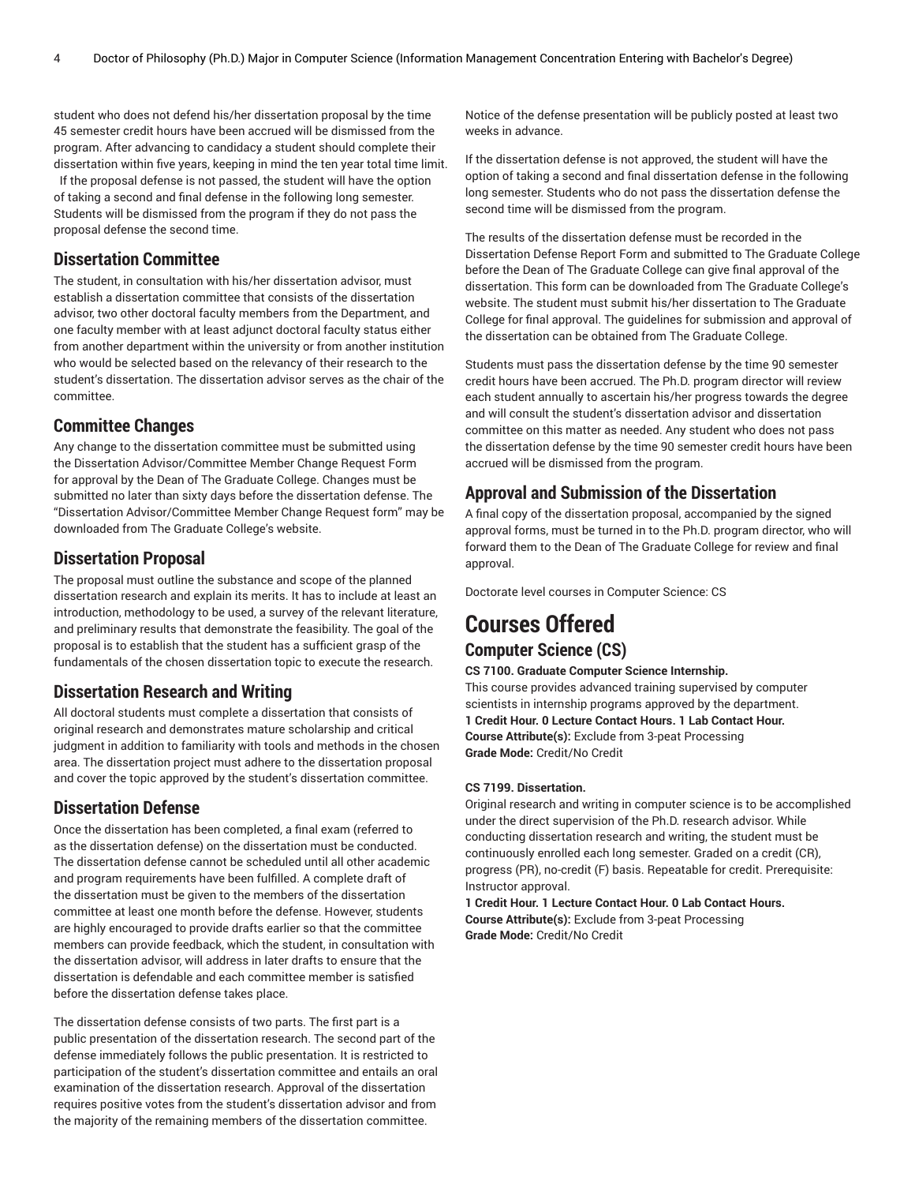student who does not defend his/her dissertation proposal by the time 45 semester credit hours have been accrued will be dismissed from the program. After advancing to candidacy a student should complete their dissertation within five years, keeping in mind the ten year total time limit.

If the proposal defense is not passed, the student will have the option of taking a second and final defense in the following long semester. Students will be dismissed from the program if they do not pass the proposal defense the second time.

## **Dissertation Committee**

The student, in consultation with his/her dissertation advisor, must establish a dissertation committee that consists of the dissertation advisor, two other doctoral faculty members from the Department, and one faculty member with at least adjunct doctoral faculty status either from another department within the university or from another institution who would be selected based on the relevancy of their research to the student's dissertation. The dissertation advisor serves as the chair of the committee.

## **Committee Changes**

Any change to the dissertation committee must be submitted using the Dissertation Advisor/Committee Member Change Request Form for approval by the Dean of The Graduate College. Changes must be submitted no later than sixty days before the dissertation defense. The "Dissertation Advisor/Committee Member Change Request form" may be downloaded from The Graduate College's website.

## **Dissertation Proposal**

The proposal must outline the substance and scope of the planned dissertation research and explain its merits. It has to include at least an introduction, methodology to be used, a survey of the relevant literature, and preliminary results that demonstrate the feasibility. The goal of the proposal is to establish that the student has a sufficient grasp of the fundamentals of the chosen dissertation topic to execute the research.

## **Dissertation Research and Writing**

All doctoral students must complete a dissertation that consists of original research and demonstrates mature scholarship and critical judgment in addition to familiarity with tools and methods in the chosen area. The dissertation project must adhere to the dissertation proposal and cover the topic approved by the student's dissertation committee.

## **Dissertation Defense**

Once the dissertation has been completed, a final exam (referred to as the dissertation defense) on the dissertation must be conducted. The dissertation defense cannot be scheduled until all other academic and program requirements have been fulfilled. A complete draft of the dissertation must be given to the members of the dissertation committee at least one month before the defense. However, students are highly encouraged to provide drafts earlier so that the committee members can provide feedback, which the student, in consultation with the dissertation advisor, will address in later drafts to ensure that the dissertation is defendable and each committee member is satisfied before the dissertation defense takes place.

The dissertation defense consists of two parts. The first part is a public presentation of the dissertation research. The second part of the defense immediately follows the public presentation. It is restricted to participation of the student's dissertation committee and entails an oral examination of the dissertation research. Approval of the dissertation requires positive votes from the student's dissertation advisor and from the majority of the remaining members of the dissertation committee.

Notice of the defense presentation will be publicly posted at least two weeks in advance.

If the dissertation defense is not approved, the student will have the option of taking a second and final dissertation defense in the following long semester. Students who do not pass the dissertation defense the second time will be dismissed from the program.

The results of the dissertation defense must be recorded in the Dissertation Defense Report Form and submitted to The Graduate College before the Dean of The Graduate College can give final approval of the dissertation. This form can be downloaded from The Graduate College's website. The student must submit his/her dissertation to The Graduate College for final approval. The guidelines for submission and approval of the dissertation can be obtained from The Graduate College.

Students must pass the dissertation defense by the time 90 semester credit hours have been accrued. The Ph.D. program director will review each student annually to ascertain his/her progress towards the degree and will consult the student's dissertation advisor and dissertation committee on this matter as needed. Any student who does not pass the dissertation defense by the time 90 semester credit hours have been accrued will be dismissed from the program.

## **Approval and Submission of the Dissertation**

A final copy of the dissertation proposal, accompanied by the signed approval forms, must be turned in to the Ph.D. program director, who will forward them to the Dean of The Graduate College for review and final approval.

Doctorate level courses in Computer Science: CS

## **Courses Offered Computer Science (CS)**

#### **CS 7100. Graduate Computer Science Internship.**

This course provides advanced training supervised by computer scientists in internship programs approved by the department. **1 Credit Hour. 0 Lecture Contact Hours. 1 Lab Contact Hour. Course Attribute(s):** Exclude from 3-peat Processing **Grade Mode:** Credit/No Credit

#### **CS 7199. Dissertation.**

Original research and writing in computer science is to be accomplished under the direct supervision of the Ph.D. research advisor. While conducting dissertation research and writing, the student must be continuously enrolled each long semester. Graded on a credit (CR), progress (PR), no-credit (F) basis. Repeatable for credit. Prerequisite: Instructor approval.

**1 Credit Hour. 1 Lecture Contact Hour. 0 Lab Contact Hours. Course Attribute(s):** Exclude from 3-peat Processing **Grade Mode:** Credit/No Credit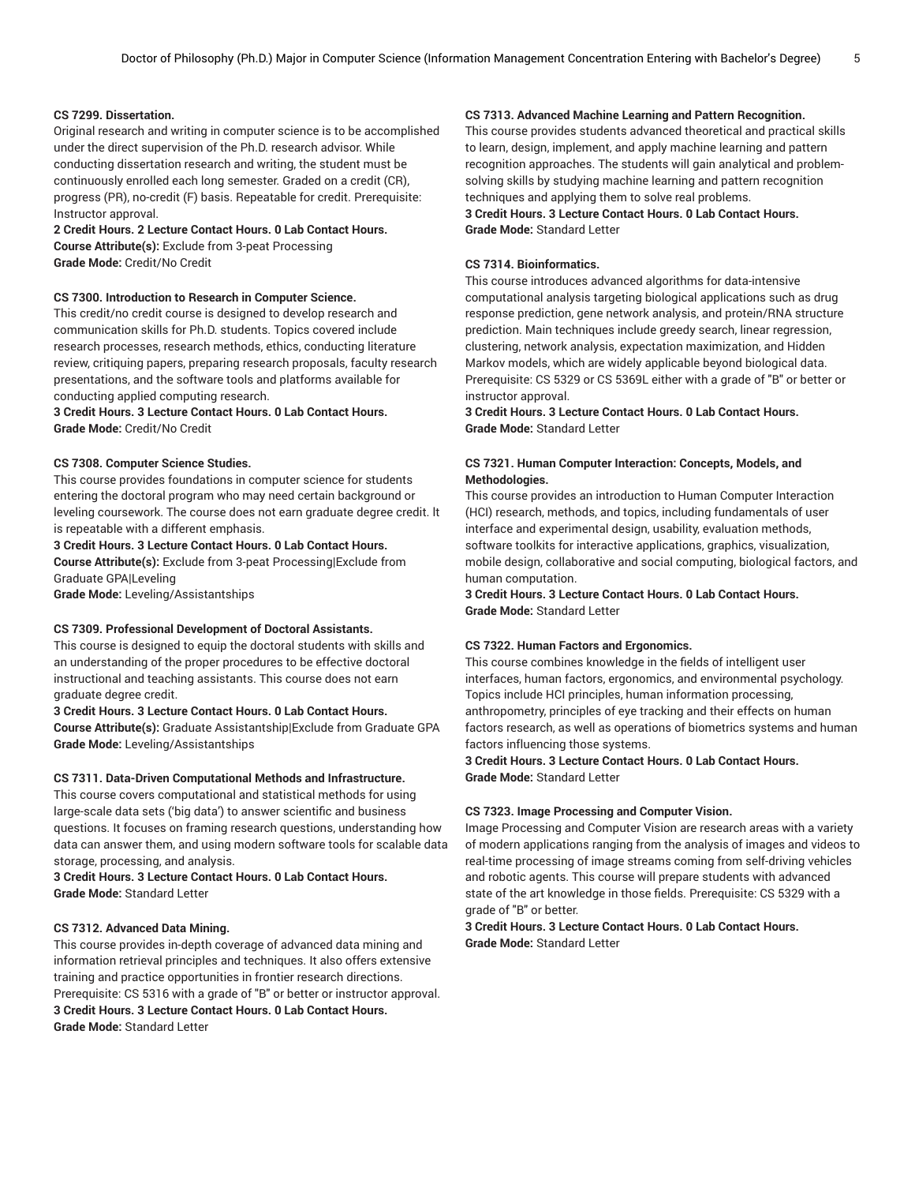#### **CS 7299. Dissertation.**

Original research and writing in computer science is to be accomplished under the direct supervision of the Ph.D. research advisor. While conducting dissertation research and writing, the student must be continuously enrolled each long semester. Graded on a credit (CR), progress (PR), no-credit (F) basis. Repeatable for credit. Prerequisite: Instructor approval.

**2 Credit Hours. 2 Lecture Contact Hours. 0 Lab Contact Hours. Course Attribute(s):** Exclude from 3-peat Processing **Grade Mode:** Credit/No Credit

#### **CS 7300. Introduction to Research in Computer Science.**

This credit/no credit course is designed to develop research and communication skills for Ph.D. students. Topics covered include research processes, research methods, ethics, conducting literature review, critiquing papers, preparing research proposals, faculty research presentations, and the software tools and platforms available for conducting applied computing research.

#### **3 Credit Hours. 3 Lecture Contact Hours. 0 Lab Contact Hours. Grade Mode:** Credit/No Credit

#### **CS 7308. Computer Science Studies.**

This course provides foundations in computer science for students entering the doctoral program who may need certain background or leveling coursework. The course does not earn graduate degree credit. lt is repeatable with a different emphasis.

#### **3 Credit Hours. 3 Lecture Contact Hours. 0 Lab Contact Hours.**

**Course Attribute(s):** Exclude from 3-peat Processing|Exclude from Graduate GPA|Leveling

**Grade Mode:** Leveling/Assistantships

#### **CS 7309. Professional Development of Doctoral Assistants.**

This course is designed to equip the doctoral students with skills and an understanding of the proper procedures to be effective doctoral instructional and teaching assistants. This course does not earn graduate degree credit.

**3 Credit Hours. 3 Lecture Contact Hours. 0 Lab Contact Hours. Course Attribute(s):** Graduate Assistantship|Exclude from Graduate GPA **Grade Mode:** Leveling/Assistantships

#### **CS 7311. Data-Driven Computational Methods and Infrastructure.**

This course covers computational and statistical methods for using large-scale data sets ('big data') to answer scientific and business questions. It focuses on framing research questions, understanding how data can answer them, and using modern software tools for scalable data storage, processing, and analysis.

**3 Credit Hours. 3 Lecture Contact Hours. 0 Lab Contact Hours. Grade Mode:** Standard Letter

#### **CS 7312. Advanced Data Mining.**

This course provides in-depth coverage of advanced data mining and information retrieval principles and techniques. It also offers extensive training and practice opportunities in frontier research directions. Prerequisite: CS 5316 with a grade of "B" or better or instructor approval. **3 Credit Hours. 3 Lecture Contact Hours. 0 Lab Contact Hours. Grade Mode:** Standard Letter

#### **CS 7313. Advanced Machine Learning and Pattern Recognition.**

This course provides students advanced theoretical and practical skills to learn, design, implement, and apply machine learning and pattern recognition approaches. The students will gain analytical and problemsolving skills by studying machine learning and pattern recognition techniques and applying them to solve real problems. **3 Credit Hours. 3 Lecture Contact Hours. 0 Lab Contact Hours. Grade Mode:** Standard Letter

#### **CS 7314. Bioinformatics.**

This course introduces advanced algorithms for data-intensive computational analysis targeting biological applications such as drug response prediction, gene network analysis, and protein/RNA structure prediction. Main techniques include greedy search, linear regression, clustering, network analysis, expectation maximization, and Hidden Markov models, which are widely applicable beyond biological data. Prerequisite: CS 5329 or CS 5369L either with a grade of "B" or better or instructor approval.

#### **3 Credit Hours. 3 Lecture Contact Hours. 0 Lab Contact Hours. Grade Mode:** Standard Letter

#### **CS 7321. Human Computer Interaction: Concepts, Models, and Methodologies.**

This course provides an introduction to Human Computer Interaction (HCI) research, methods, and topics, including fundamentals of user interface and experimental design, usability, evaluation methods, software toolkits for interactive applications, graphics, visualization, mobile design, collaborative and social computing, biological factors, and human computation.

**3 Credit Hours. 3 Lecture Contact Hours. 0 Lab Contact Hours. Grade Mode:** Standard Letter

#### **CS 7322. Human Factors and Ergonomics.**

This course combines knowledge in the fields of intelligent user interfaces, human factors, ergonomics, and environmental psychology. Topics include HCI principles, human information processing, anthropometry, principles of eye tracking and their effects on human factors research, as well as operations of biometrics systems and human factors influencing those systems.

#### **3 Credit Hours. 3 Lecture Contact Hours. 0 Lab Contact Hours. Grade Mode:** Standard Letter

#### **CS 7323. Image Processing and Computer Vision.**

Image Processing and Computer Vision are research areas with a variety of modern applications ranging from the analysis of images and videos to real-time processing of image streams coming from self-driving vehicles and robotic agents. This course will prepare students with advanced state of the art knowledge in those fields. Prerequisite: CS 5329 with a grade of "B" or better.

#### **3 Credit Hours. 3 Lecture Contact Hours. 0 Lab Contact Hours. Grade Mode:** Standard Letter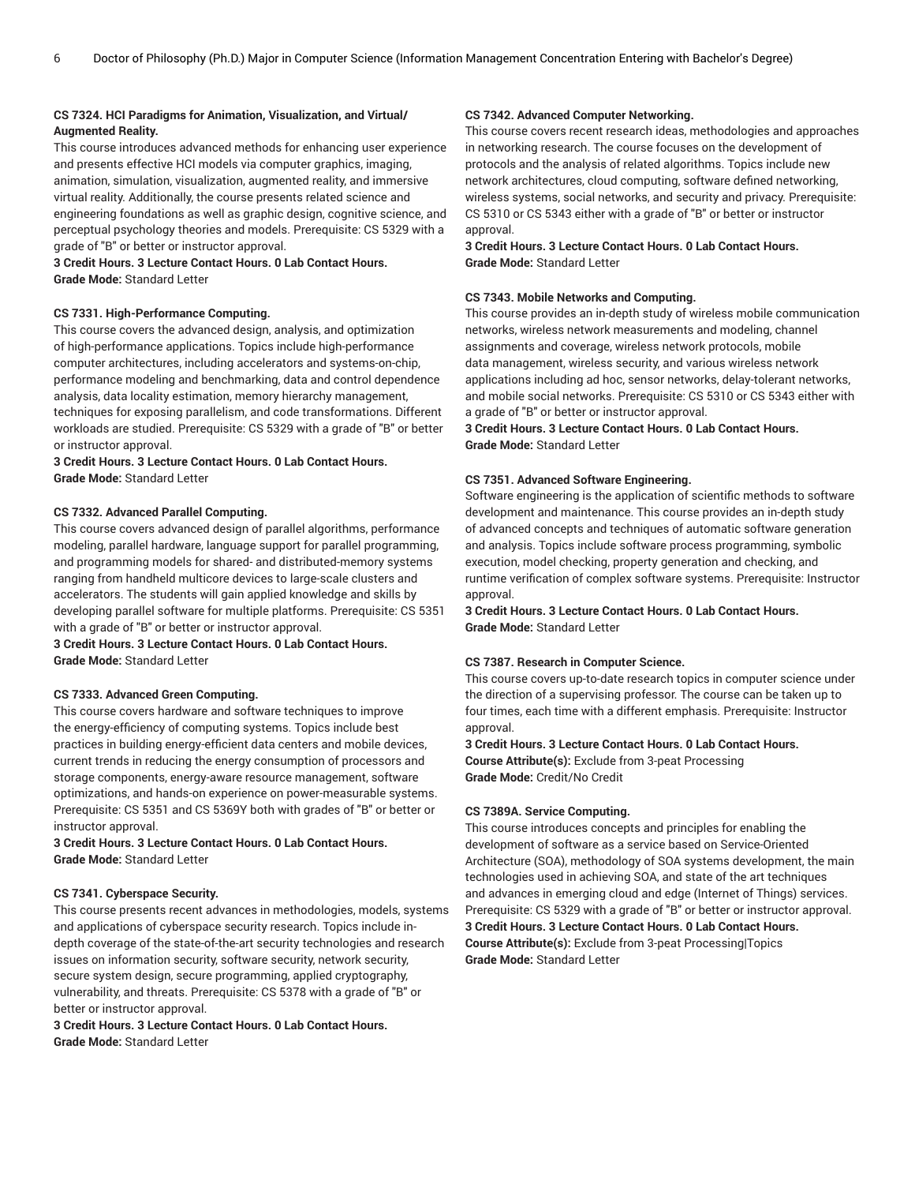#### **CS 7324. HCI Paradigms for Animation, Visualization, and Virtual/ Augmented Reality.**

This course introduces advanced methods for enhancing user experience and presents effective HCI models via computer graphics, imaging, animation, simulation, visualization, augmented reality, and immersive virtual reality. Additionally, the course presents related science and engineering foundations as well as graphic design, cognitive science, and perceptual psychology theories and models. Prerequisite: CS 5329 with a grade of "B" or better or instructor approval.

**3 Credit Hours. 3 Lecture Contact Hours. 0 Lab Contact Hours. Grade Mode:** Standard Letter

#### **CS 7331. High-Performance Computing.**

This course covers the advanced design, analysis, and optimization of high-performance applications. Topics include high-performance computer architectures, including accelerators and systems-on-chip, performance modeling and benchmarking, data and control dependence analysis, data locality estimation, memory hierarchy management, techniques for exposing parallelism, and code transformations. Different workloads are studied. Prerequisite: CS 5329 with a grade of "B" or better or instructor approval.

#### **3 Credit Hours. 3 Lecture Contact Hours. 0 Lab Contact Hours. Grade Mode:** Standard Letter

#### **CS 7332. Advanced Parallel Computing.**

This course covers advanced design of parallel algorithms, performance modeling, parallel hardware, language support for parallel programming, and programming models for shared- and distributed-memory systems ranging from handheld multicore devices to large-scale clusters and accelerators. The students will gain applied knowledge and skills by developing parallel software for multiple platforms. Prerequisite: CS 5351 with a grade of "B" or better or instructor approval.

**3 Credit Hours. 3 Lecture Contact Hours. 0 Lab Contact Hours. Grade Mode:** Standard Letter

#### **CS 7333. Advanced Green Computing.**

This course covers hardware and software techniques to improve the energy-efficiency of computing systems. Topics include best practices in building energy-efficient data centers and mobile devices, current trends in reducing the energy consumption of processors and storage components, energy-aware resource management, software optimizations, and hands-on experience on power-measurable systems. Prerequisite: CS 5351 and CS 5369Y both with grades of "B" or better or instructor approval.

**3 Credit Hours. 3 Lecture Contact Hours. 0 Lab Contact Hours. Grade Mode:** Standard Letter

#### **CS 7341. Cyberspace Security.**

This course presents recent advances in methodologies, models, systems and applications of cyberspace security research. Topics include indepth coverage of the state-of-the-art security technologies and research issues on information security, software security, network security, secure system design, secure programming, applied cryptography, vulnerability, and threats. Prerequisite: CS 5378 with a grade of "B" or better or instructor approval.

**3 Credit Hours. 3 Lecture Contact Hours. 0 Lab Contact Hours. Grade Mode:** Standard Letter

#### **CS 7342. Advanced Computer Networking.**

This course covers recent research ideas, methodologies and approaches in networking research. The course focuses on the development of protocols and the analysis of related algorithms. Topics include new network architectures, cloud computing, software defined networking, wireless systems, social networks, and security and privacy. Prerequisite: CS 5310 or CS 5343 either with a grade of "B" or better or instructor approval.

**3 Credit Hours. 3 Lecture Contact Hours. 0 Lab Contact Hours. Grade Mode:** Standard Letter

#### **CS 7343. Mobile Networks and Computing.**

This course provides an in-depth study of wireless mobile communication networks, wireless network measurements and modeling, channel assignments and coverage, wireless network protocols, mobile data management, wireless security, and various wireless network applications including ad hoc, sensor networks, delay-tolerant networks, and mobile social networks. Prerequisite: CS 5310 or CS 5343 either with a grade of "B" or better or instructor approval.

**3 Credit Hours. 3 Lecture Contact Hours. 0 Lab Contact Hours. Grade Mode:** Standard Letter

#### **CS 7351. Advanced Software Engineering.**

Software engineering is the application of scientific methods to software development and maintenance. This course provides an in-depth study of advanced concepts and techniques of automatic software generation and analysis. Topics include software process programming, symbolic execution, model checking, property generation and checking, and runtime verification of complex software systems. Prerequisite: Instructor approval.

**3 Credit Hours. 3 Lecture Contact Hours. 0 Lab Contact Hours. Grade Mode:** Standard Letter

#### **CS 7387. Research in Computer Science.**

This course covers up-to-date research topics in computer science under the direction of a supervising professor. The course can be taken up to four times, each time with a different emphasis. Prerequisite: Instructor approval.

**3 Credit Hours. 3 Lecture Contact Hours. 0 Lab Contact Hours. Course Attribute(s):** Exclude from 3-peat Processing **Grade Mode:** Credit/No Credit

#### **CS 7389A. Service Computing.**

This course introduces concepts and principles for enabling the development of software as a service based on Service-Oriented Architecture (SOA), methodology of SOA systems development, the main technologies used in achieving SOA, and state of the art techniques and advances in emerging cloud and edge (Internet of Things) services. Prerequisite: CS 5329 with a grade of "B" or better or instructor approval. **3 Credit Hours. 3 Lecture Contact Hours. 0 Lab Contact Hours. Course Attribute(s):** Exclude from 3-peat Processing|Topics **Grade Mode:** Standard Letter